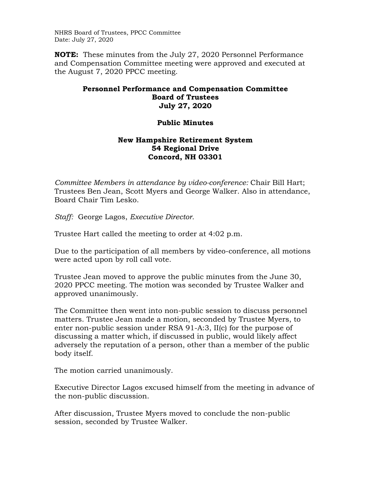NHRS Board of Trustees, PPCC Committee Date: July 27, 2020

**NOTE:** These minutes from the July 27, 2020 Personnel Performance and Compensation Committee meeting were approved and executed at the August 7, 2020 PPCC meeting.

## **Personnel Performance and Compensation Committee Board of Trustees July 27, 2020**

## **Public Minutes**

## **New Hampshire Retirement System 54 Regional Drive Concord, NH 03301**

*Committee Members in attendance by video-conference:* Chair Bill Hart; Trustees Ben Jean, Scott Myers and George Walker. Also in attendance, Board Chair Tim Lesko.

*Staff:* George Lagos, *Executive Director.* 

Trustee Hart called the meeting to order at 4:02 p.m.

Due to the participation of all members by video-conference, all motions were acted upon by roll call vote.

Trustee Jean moved to approve the public minutes from the June 30, 2020 PPCC meeting. The motion was seconded by Trustee Walker and approved unanimously.

The Committee then went into non-public session to discuss personnel matters. Trustee Jean made a motion, seconded by Trustee Myers, to enter non-public session under RSA 91-A:3, II(c) for the purpose of discussing a matter which, if discussed in public, would likely affect adversely the reputation of a person, other than a member of the public body itself.

The motion carried unanimously.

Executive Director Lagos excused himself from the meeting in advance of the non-public discussion.

After discussion, Trustee Myers moved to conclude the non-public session, seconded by Trustee Walker.